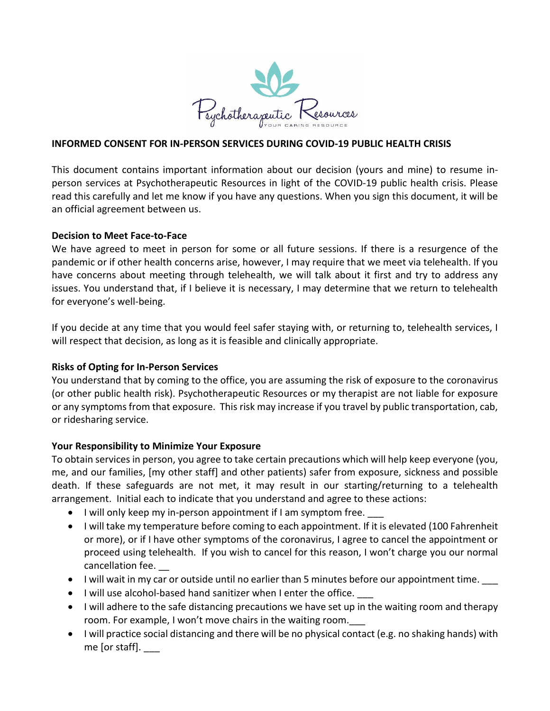

### **INFORMED CONSENT FOR IN-PERSON SERVICES DURING COVID-19 PUBLIC HEALTH CRISIS**

This document contains important information about our decision (yours and mine) to resume inperson services at Psychotherapeutic Resources in light of the COVID-19 public health crisis. Please read this carefully and let me know if you have any questions. When you sign this document, it will be an official agreement between us.

#### **Decision to Meet Face-to-Face**

We have agreed to meet in person for some or all future sessions. If there is a resurgence of the pandemic or if other health concerns arise, however, I may require that we meet via telehealth. If you have concerns about meeting through telehealth, we will talk about it first and try to address any issues. You understand that, if I believe it is necessary, I may determine that we return to telehealth for everyone's well-being.

If you decide at any time that you would feel safer staying with, or returning to, telehealth services, I will respect that decision, as long as it is feasible and clinically appropriate.

### **Risks of Opting for In-Person Services**

You understand that by coming to the office, you are assuming the risk of exposure to the coronavirus (or other public health risk). Psychotherapeutic Resources or my therapist are not liable for exposure or any symptomsfrom that exposure. This risk may increase if you travel by public transportation, cab, or ridesharing service.

### **Your Responsibility to Minimize Your Exposure**

To obtain services in person, you agree to take certain precautions which will help keep everyone (you, me, and our families, [my other staff] and other patients) safer from exposure, sickness and possible death. If these safeguards are not met, it may result in our starting/returning to a telehealth arrangement. Initial each to indicate that you understand and agree to these actions:

- I will only keep my in-person appointment if I am symptom free.
- I will take my temperature before coming to each appointment. If it is elevated (100 Fahrenheit or more), or if I have other symptoms of the coronavirus, I agree to cancel the appointment or proceed using telehealth. If you wish to cancel for this reason, I won't charge you our normal cancellation fee.
- I will wait in my car or outside until no earlier than 5 minutes before our appointment time.
- I will use alcohol-based hand sanitizer when I enter the office.
- I will adhere to the safe distancing precautions we have set up in the waiting room and therapy room. For example, I won't move chairs in the waiting room.
- I will practice social distancing and there will be no physical contact (e.g. no shaking hands) with me [or staff].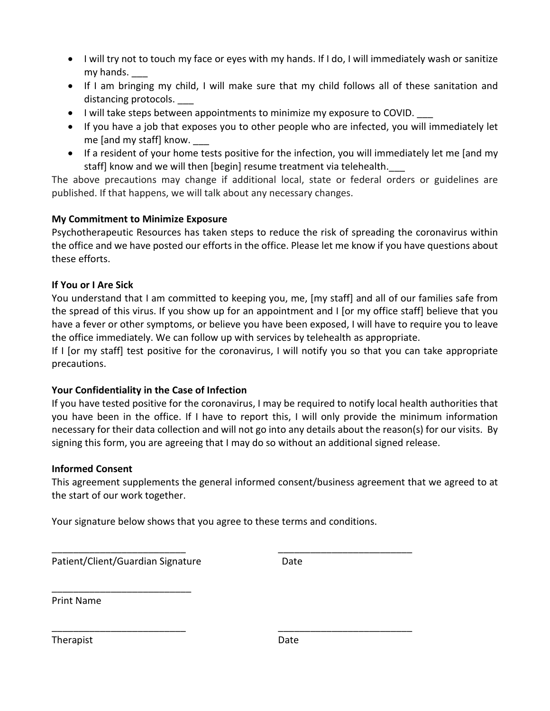- I will try not to touch my face or eyes with my hands. If I do, I will immediately wash or sanitize my hands. \_\_\_
- If I am bringing my child, I will make sure that my child follows all of these sanitation and distancing protocols.
- I will take steps between appointments to minimize my exposure to COVID.
- If you have a job that exposes you to other people who are infected, you will immediately let me [and my staff] know.
- If a resident of your home tests positive for the infection, you will immediately let me [and my staff] know and we will then [begin] resume treatment via telehealth.

The above precautions may change if additional local, state or federal orders or guidelines are published. If that happens, we will talk about any necessary changes.

# **My Commitment to Minimize Exposure**

Psychotherapeutic Resources has taken steps to reduce the risk of spreading the coronavirus within the office and we have posted our efforts in the office. Please let me know if you have questions about these efforts.

## **If You or I Are Sick**

You understand that I am committed to keeping you, me, [my staff] and all of our families safe from the spread of this virus. If you show up for an appointment and I [or my office staff] believe that you have a fever or other symptoms, or believe you have been exposed, I will have to require you to leave the office immediately. We can follow up with services by telehealth as appropriate.

If I [or my staff] test positive for the coronavirus, I will notify you so that you can take appropriate precautions.

## **Your Confidentiality in the Case of Infection**

If you have tested positive for the coronavirus, I may be required to notify local health authorities that you have been in the office. If I have to report this, I will only provide the minimum information necessary for their data collection and will not go into any details about the reason(s) for our visits. By signing this form, you are agreeing that I may do so without an additional signed release.

## **Informed Consent**

This agreement supplements the general informed consent/business agreement that we agreed to at the start of our work together.

Your signature below shows that you agree to these terms and conditions.

\_\_\_\_\_\_\_\_\_\_\_\_\_\_\_\_\_\_\_\_\_\_\_\_\_ \_\_\_\_\_\_\_\_\_\_\_\_\_\_\_\_\_\_\_\_\_\_\_\_\_

\_\_\_\_\_\_\_\_\_\_\_\_\_\_\_\_\_\_\_\_\_\_\_\_\_ \_\_\_\_\_\_\_\_\_\_\_\_\_\_\_\_\_\_\_\_\_\_\_\_\_

Patient/Client/Guardian Signature Date

\_\_\_\_\_\_\_\_\_\_\_\_\_\_\_\_\_\_\_\_\_\_\_\_\_\_

Print Name

Therapist **Date**